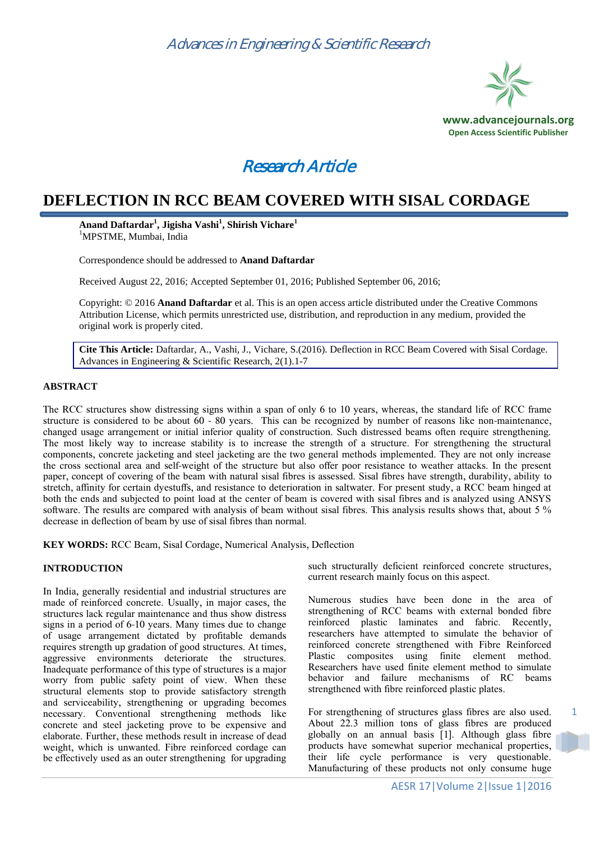



# **DEFLECTION IN RCC BEAM COVERED WITH SISAL CORDAGE**

**Anand Daftardar<sup>1</sup> , Jigisha Vashi<sup>1</sup> , Shirish Vichare<sup>1</sup>** <sup>1</sup>MPSTME, Mumbai, India

Correspondence should be addressed to **Anand Daftardar**

Received August 22, 2016; Accepted September 01, 2016; Published September 06, 2016;

Copyright: © 2016 **Anand Daftardar** et al. This is an open access article distributed under the Creative Commons Attribution License, which permits unrestricted use, distribution, and reproduction in any medium, provided the original work is properly cited.

**Cite This Article:** Daftardar, A., Vashi, J., Vichare, S.(2016). Deflection in RCC Beam Covered with Sisal Cordage. Advances in Engineering & Scientific Research, 2(1).1-7

#### **ABSTRACT**

The RCC structures show distressing signs within a span of only 6 to 10 years, whereas, the standard life of RCC frame structure is considered to be about 60 - 80 years. This can be recognized by number of reasons like non-maintenance, changed usage arrangement or initial inferior quality of construction. Such distressed beams often require strengthening. The most likely way to increase stability is to increase the strength of a structure. For strengthening the structural components, concrete jacketing and steel jacketing are the two general methods implemented. They are not only increase the cross sectional area and self-weight of the structure but also offer poor resistance to weather attacks. In the present paper, concept of covering of the beam with natural sisal fibres is assessed. Sisal fibres have strength, durability, ability to stretch, affinity for certain dyestuffs, and resistance to deterioration in saltwater. For present study, a RCC beam hinged at both the ends and subjected to point load at the center of beam is covered with sisal fibres and is analyzed using ANSYS software. The results are compared with analysis of beam without sisal fibres. This analysis results shows that, about 5 % decrease in deflection of beam by use of sisal fibres than normal.

**KEY WORDS:** RCC Beam, Sisal Cordage, Numerical Analysis, Deflection

#### **INTRODUCTION**

In India, generally residential and industrial structures are made of reinforced concrete. Usually, in major cases, the structures lack regular maintenance and thus show distress signs in a period of 6-10 years. Many times due to change of usage arrangement dictated by profitable demands requires strength up gradation of good structures. At times, aggressive environments deteriorate the structures. Inadequate performance of this type of structures is a major worry from public safety point of view. When these structural elements stop to provide satisfactory strength and serviceability, strengthening or upgrading becomes necessary. Conventional strengthening methods like concrete and steel jacketing prove to be expensive and elaborate. Further, these methods result in increase of dead weight, which is unwanted. Fibre reinforced cordage can be effectively used as an outer strengthening for upgrading

such structurally deficient reinforced concrete structures, current research mainly focus on this aspect.

Numerous studies have been done in the area of strengthening of RCC beams with external bonded fibre reinforced plastic laminates and fabric. Recently, researchers have attempted to simulate the behavior of reinforced concrete strengthened with Fibre Reinforced Plastic composites using finite element method. Researchers have used finite element method to simulate behavior and failure mechanisms of RC beams strengthened with fibre reinforced plastic plates.

For strengthening of structures glass fibres are also used. About 22.3 million tons of glass fibres are produced globally on an annual basis [1]. Although glass fibre products have somewhat superior mechanical properties, their life cycle performance is very questionable. Manufacturing of these products not only consume huge

1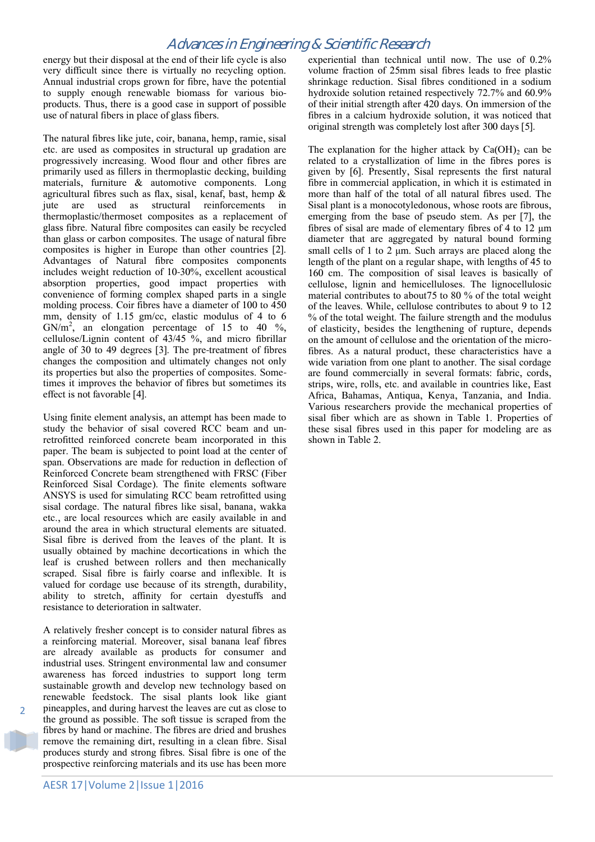energy but their disposal at the end of their life cycle is also very difficult since there is virtually no recycling option. Annual industrial crops grown for fibre, have the potential to supply enough renewable biomass for various bioproducts. Thus, there is a good case in support of possible use of natural fibers in place of glass fibers.

The natural fibres like jute, coir, banana, hemp, ramie, sisal etc. are used as composites in structural up gradation are progressively increasing. Wood flour and other fibres are primarily used as fillers in thermoplastic decking, building materials, furniture & automotive components. Long agricultural fibres such as flax, sisal, kenaf, bast, hemp  $\&$ jute are used as structural reinforcements in thermoplastic/thermoset composites as a replacement of glass fibre. Natural fibre composites can easily be recycled than glass or carbon composites. The usage of natural fibre composites is higher in Europe than other countries [2]. Advantages of Natural fibre composites components includes weight reduction of 10-30%, excellent acoustical absorption properties, good impact properties with convenience of forming complex shaped parts in a single molding process. Coir fibres have a diameter of 100 to 450 mm, density of 1.15 gm/cc, elastic modulus of 4 to 6 GN/ $m^2$ , an elongation percentage of 15 to 40 %, cellulose/Lignin content of 43/45 %, and micro fibrillar angle of 30 to 49 degrees [3]. The pre-treatment of fibres changes the composition and ultimately changes not only its properties but also the properties of composites. Sometimes it improves the behavior of fibres but sometimes its effect is not favorable [4].

Using finite element analysis, an attempt has been made to study the behavior of sisal covered RCC beam and unretrofitted reinforced concrete beam incorporated in this paper. The beam is subjected to point load at the center of span. Observations are made for reduction in deflection of Reinforced Concrete beam strengthened with FRSC (Fiber Reinforced Sisal Cordage). The finite elements software ANSYS is used for simulating RCC beam retrofitted using sisal cordage. The natural fibres like sisal, banana, wakka etc., are local resources which are easily available in and around the area in which structural elements are situated. Sisal fibre is derived from the leaves of the plant. It is usually obtained by machine decortications in which the leaf is crushed between rollers and then mechanically scraped. Sisal fibre is fairly coarse and inflexible. It is valued for cordage use because of its strength, durability, ability to stretch, affinity for certain dyestuffs and resistance to deterioration in saltwater.

A relatively fresher concept is to consider natural fibres as a reinforcing material. Moreover, sisal banana leaf fibres are already available as products for consumer and industrial uses. Stringent environmental law and consumer awareness has forced industries to support long term sustainable growth and develop new technology based on renewable feedstock. The sisal plants look like giant pineapples, and during harvest the leaves are cut as close to the ground as possible. The soft tissue is scraped from the fibres by hand or machine. The fibres are dried and brushes remove the remaining dirt, resulting in a clean fibre. Sisal produces sturdy and strong fibres. Sisal fibre is one of the prospective reinforcing materials and its use has been more

 $\overline{\phantom{a}}$ 

experiential than technical until now. The use of 0.2% volume fraction of 25mm sisal fibres leads to free plastic shrinkage reduction. Sisal fibres conditioned in a sodium hydroxide solution retained respectively 72.7% and 60.9% of their initial strength after 420 days. On immersion of the fibres in a calcium hydroxide solution, it was noticed that original strength was completely lost after 300 days [5].

The explanation for the higher attack by  $Ca(OH)_2$  can be related to a crystallization of lime in the fibres pores is given by [6]. Presently, Sisal represents the first natural fibre in commercial application, in which it is estimated in more than half of the total of all natural fibres used. The Sisal plant is a monocotyledonous, whose roots are fibrous, emerging from the base of pseudo stem. As per [7], the fibres of sisal are made of elementary fibres of 4 to 12 μm diameter that are aggregated by natural bound forming small cells of 1 to 2 μm. Such arrays are placed along the length of the plant on a regular shape, with lengths of 45 to 160 cm. The composition of sisal leaves is basically of cellulose, lignin and hemicelluloses. The lignocellulosic material contributes to about75 to 80 % of the total weight of the leaves. While, cellulose contributes to about 9 to 12 % of the total weight. The failure strength and the modulus of elasticity, besides the lengthening of rupture, depends on the amount of cellulose and the orientation of the microfibres. As a natural product, these characteristics have a wide variation from one plant to another. The sisal cordage are found commercially in several formats: fabric, cords, strips, wire, rolls, etc. and available in countries like, East Africa, Bahamas, Antiqua, Kenya, Tanzania, and India. Various researchers provide the mechanical properties of sisal fiber which are as shown in Table 1. Properties of these sisal fibres used in this paper for modeling are as shown in Table 2.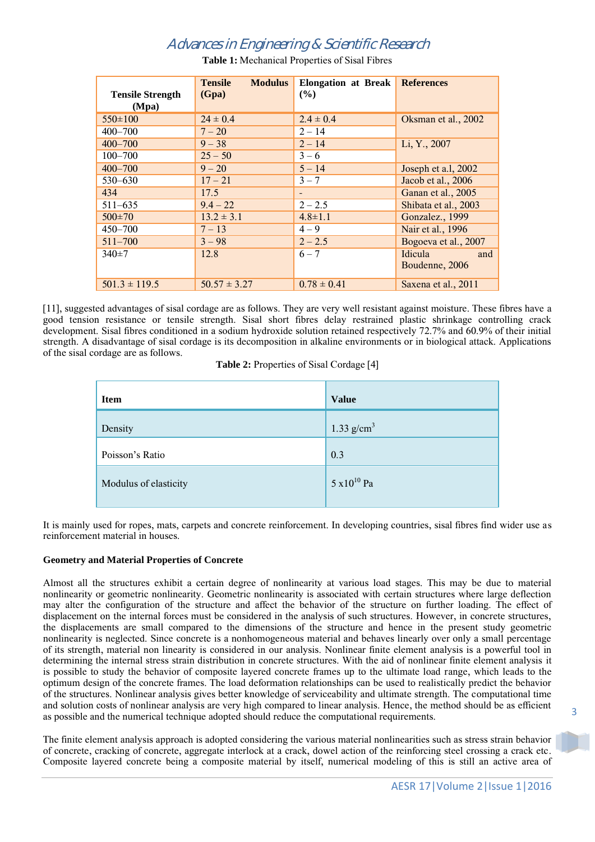| <b>Tensile Strength</b> | <b>Tensile</b><br><b>Modulus</b><br>(Gpa) | Elongation at Break<br>(%) | <b>References</b>    |
|-------------------------|-------------------------------------------|----------------------------|----------------------|
| (Mpa)                   |                                           |                            |                      |
| $550\pm100$             | $24 \pm 0.4$                              | $2.4 \pm 0.4$              | Oksman et al., 2002  |
| $400 - 700$             | $7 - 20$                                  | $2 - 14$                   |                      |
| $400 - 700$             | $9 - 38$                                  | $2 - 14$                   | Li, Y., 2007         |
| $100 - 700$             | $25 - 50$                                 | $3 - 6$                    |                      |
| $400 - 700$             | $9 - 20$                                  | $5 - 14$                   | Joseph et a.l, 2002  |
| $530 - 630$             | $17 - 21$                                 | $3 - 7$                    | Jacob et al., 2006   |
| 434                     | 17.5                                      | -                          | Ganan et al., 2005   |
| $511 - 635$             | $9.4 - 22$                                | $2 - 2.5$                  | Shibata et al., 2003 |
| $500 \pm 70$            | $13.2 \pm 3.1$                            | $4.8 \pm 1.1$              | Gonzalez., 1999      |
| $450 - 700$             | $7 - 13$                                  | $4 - 9$                    | Nair et al., 1996    |
| $511 - 700$             | $3 - 98$                                  | $2 - 2.5$                  | Bogoeva et al., 2007 |
| $340 \pm 7$             | 12.8                                      | $6 - 7$                    | Idicula<br>and       |
|                         |                                           |                            | Boudenne, 2006       |
| $501.3 \pm 119.5$       | $50.57 \pm 3.27$                          | $0.78 \pm 0.41$            | Saxena et al., 2011  |

**Table 1:** Mechanical Properties of Sisal Fibres

[11], suggested advantages of sisal cordage are as follows. They are very well resistant against moisture. These fibres have a good tension resistance or tensile strength. Sisal short fibres delay restrained plastic shrinkage controlling crack development. Sisal fibres conditioned in a sodium hydroxide solution retained respectively 72.7% and 60.9% of their initial strength. A disadvantage of sisal cordage is its decomposition in alkaline environments or in biological attack. Applications of the sisal cordage are as follows.

**Table 2:** Properties of Sisal Cordage [4]

| <b>Item</b>           | <b>Value</b>          |
|-----------------------|-----------------------|
| Density               | 1.33 $g/cm^3$         |
| Poisson's Ratio       | 0.3                   |
| Modulus of elasticity | $5 \times 10^{10}$ Pa |

It is mainly used for ropes, mats, carpets and concrete reinforcement. In developing countries, sisal fibres find wider use as reinforcement material in houses.

### **Geometry and Material Properties of Concrete**

Almost all the structures exhibit a certain degree of nonlinearity at various load stages. This may be due to material nonlinearity or geometric nonlinearity. Geometric nonlinearity is associated with certain structures where large deflection may alter the configuration of the structure and affect the behavior of the structure on further loading. The effect of displacement on the internal forces must be considered in the analysis of such structures. However, in concrete structures, the displacements are small compared to the dimensions of the structure and hence in the present study geometric nonlinearity is neglected. Since concrete is a nonhomogeneous material and behaves linearly over only a small percentage of its strength, material non linearity is considered in our analysis. Nonlinear finite element analysis is a powerful tool in determining the internal stress strain distribution in concrete structures. With the aid of nonlinear finite element analysis it is possible to study the behavior of composite layered concrete frames up to the ultimate load range, which leads to the optimum design of the concrete frames. The load deformation relationships can be used to realistically predict the behavior of the structures. Nonlinear analysis gives better knowledge of serviceability and ultimate strength. The computational time and solution costs of nonlinear analysis are very high compared to linear analysis. Hence, the method should be as efficient as possible and the numerical technique adopted should reduce the computational requirements.

The finite element analysis approach is adopted considering the various material nonlinearities such as stress strain behavior of concrete, cracking of concrete, aggregate interlock at a crack, dowel action of the reinforcing steel crossing a crack etc. Composite layered concrete being a composite material by itself, numerical modeling of this is still an active area of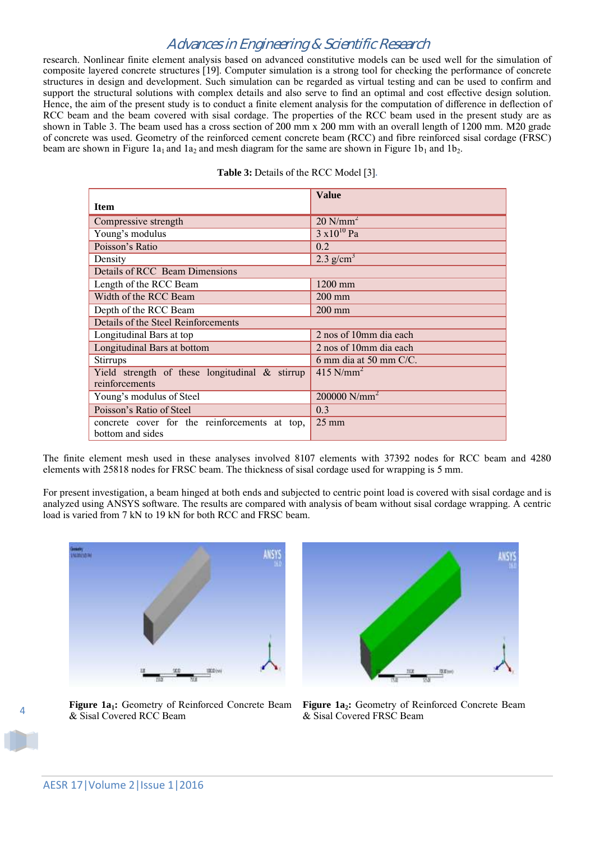research. Nonlinear finite element analysis based on advanced constitutive models can be used well for the simulation of composite layered concrete structures [19]. Computer simulation is a strong tool for checking the performance of concrete structures in design and development. Such simulation can be regarded as virtual testing and can be used to confirm and support the structural solutions with complex details and also serve to find an optimal and cost effective design solution. Hence, the aim of the present study is to conduct a finite element analysis for the computation of difference in deflection of RCC beam and the beam covered with sisal cordage. The properties of the RCC beam used in the present study are as shown in Table 3. The beam used has a cross section of 200 mm x 200 mm with an overall length of 1200 mm. M20 grade of concrete was used. Geometry of the reinforced cement concrete beam (RCC) and fibre reinforced sisal cordage (FRSC) beam are shown in Figure 1a<sub>1</sub> and 1a<sub>2</sub> and mesh diagram for the same are shown in Figure 1b<sub>1</sub> and 1b<sub>2</sub>.

|                                                   | <b>Value</b>            |  |
|---------------------------------------------------|-------------------------|--|
| <b>Item</b>                                       |                         |  |
| Compressive strength                              | $20$ N/mm <sup>2</sup>  |  |
| Young's modulus                                   | $3 \times 10^{10}$ Pa   |  |
| Poisson's Ratio                                   | 0.2                     |  |
| Density                                           | $2.3$ g/cm <sup>3</sup> |  |
| <b>Details of RCC</b> Beam Dimensions             |                         |  |
| Length of the RCC Beam                            | $1200$ mm               |  |
| Width of the RCC Beam                             | $200$ mm                |  |
| Depth of the RCC Beam                             | $200$ mm                |  |
| Details of the Steel Reinforcements               |                         |  |
| Longitudinal Bars at top                          | 2 nos of 10mm dia each  |  |
| Longitudinal Bars at bottom                       | 2 nos of 10mm dia each  |  |
| <b>Stirrups</b>                                   | 6 mm dia at 50 mm C/C.  |  |
| Yield strength of these longitudinal $\&$ stirrup | $415$ N/mm <sup>2</sup> |  |
| reinforcements                                    |                         |  |
| Young's modulus of Steel                          | 200000 $N/mm^2$         |  |
| Poisson's Ratio of Steel                          | 0.3                     |  |
| concrete cover for the reinforcements at top,     | $25 \text{ mm}$         |  |
| bottom and sides                                  |                         |  |

| <b>Table 3:</b> Details of the RCC Model [3]. |  |  |  |  |  |
|-----------------------------------------------|--|--|--|--|--|
|-----------------------------------------------|--|--|--|--|--|

The finite element mesh used in these analyses involved 8107 elements with 37392 nodes for RCC beam and 4280 elements with 25818 nodes for FRSC beam. The thickness of sisal cordage used for wrapping is 5 mm.

For present investigation, a beam hinged at both ends and subjected to centric point load is covered with sisal cordage and is analyzed using ANSYS software. The results are compared with analysis of beam without sisal cordage wrapping. A centric load is varied from 7 kN to 19 kN for both RCC and FRSC beam.



**Figure 1a1:** Geometry of Reinforced Concrete Beam & Sisal Covered RCC Beam



**Figure 1a2:** Geometry of Reinforced Concrete Beam & Sisal Covered FRSC Beam

4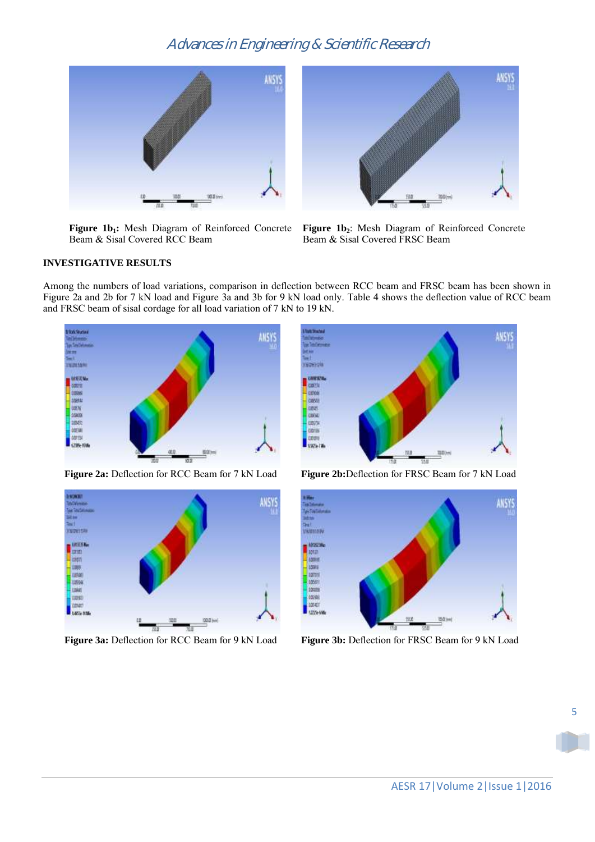

**Figure 1b1:** Mesh Diagram of Reinforced Concrete Beam & Sisal Covered RCC Beam



**Figure 1b2**: Mesh Diagram of Reinforced Concrete Beam & Sisal Covered FRSC Beam

#### **INVESTIGATIVE RESULTS**

Among the numbers of load variations, comparison in deflection between RCC beam and FRSC beam has been shown in Figure 2a and 2b for 7 kN load and Figure 3a and 3b for 9 kN load only. Table 4 shows the deflection value of RCC beam and FRSC beam of sisal cordage for all load variation of 7 kN to 19 kN.



**Figure 2a:** Deflection for RCC Beam for 7 kN Load **Figure 2b:**Deflection for FRSC Beam for 7 kN Load



**Figure 3a:** Deflection for RCC Beam for 9 kN Load **Figure 3b:** Deflection for FRSC Beam for 9 kN Load



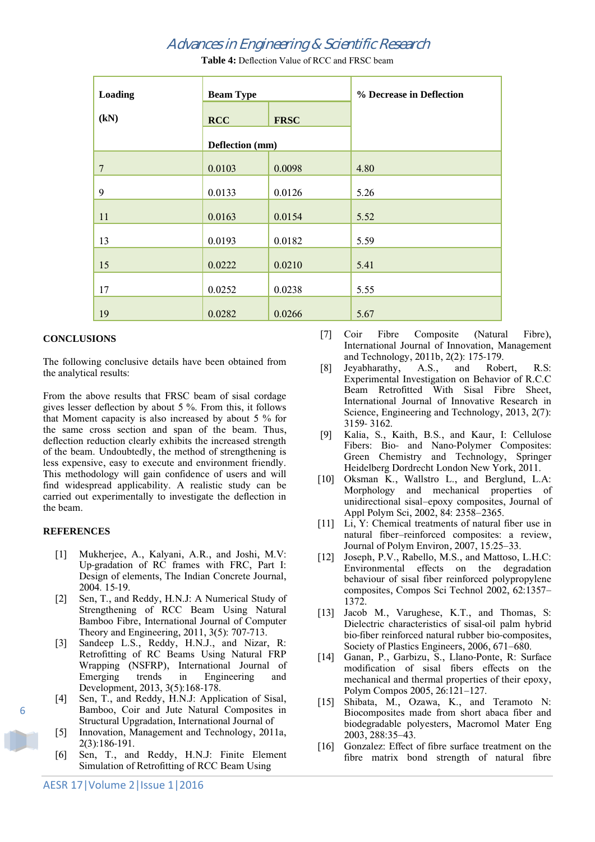| Loading        | <b>Beam Type</b> |             | % Decrease in Deflection |
|----------------|------------------|-------------|--------------------------|
| (kN)           | <b>RCC</b>       | <b>FRSC</b> |                          |
|                | Deflection (mm)  |             |                          |
| $\overline{7}$ | 0.0103           | 0.0098      | 4.80                     |
| 9              | 0.0133           | 0.0126      | 5.26                     |
| 11             | 0.0163           | 0.0154      | 5.52                     |
| 13             | 0.0193           | 0.0182      | 5.59                     |
| 15             | 0.0222           | 0.0210      | 5.41                     |
| 17             | 0.0252           | 0.0238      | 5.55                     |
| 19             | 0.0282           | 0.0266      | 5.67                     |

**Table 4:** Deflection Value of RCC and FRSC beam

#### **CONCLUSIONS**

The following conclusive details have been obtained from the analytical results:

From the above results that FRSC beam of sisal cordage gives lesser deflection by about 5 %. From this, it follows that Moment capacity is also increased by about 5 % for the same cross section and span of the beam. Thus, deflection reduction clearly exhibits the increased strength of the beam. Undoubtedly, the method of strengthening is less expensive, easy to execute and environment friendly. This methodology will gain confidence of users and will find widespread applicability. A realistic study can be carried out experimentally to investigate the deflection in the beam.

#### **REFERENCES**

- [1] Mukherjee, A., Kalyani, A.R., and Joshi, M.V: Up-gradation of RC frames with FRC, Part I: Design of elements, The Indian Concrete Journal, 2004. 15-19.
- [2] Sen, T., and Reddy, H.N.J: A Numerical Study of Strengthening of RCC Beam Using Natural Bamboo Fibre, International Journal of Computer Theory and Engineering, 2011, 3(5): 707-713.
- [3] Sandeep L.S., Reddy, H.N.J., and Nizar, R: Retrofitting of RC Beams Using Natural FRP Wrapping (NSFRP), International Journal of Emerging trends in Engineering and Development, 2013, 3(5):168-178.
- [4] Sen, T., and Reddy, H.N.J: Application of Sisal, Bamboo, Coir and Jute Natural Composites in Structural Upgradation, International Journal of
- [5] Innovation, Management and Technology, 2011a, 2(3):186-191.
- [6] Sen, T., and Reddy, H.N.J: Finite Element Simulation of Retrofitting of RCC Beam Using
- [7] Coir Fibre Composite (Natural Fibre), International Journal of Innovation, Management and Technology, 2011b, 2(2): 175-179.
- [8] Jeyabharathy, A.S., and Robert, R.S: Experimental Investigation on Behavior of R.C.C Beam Retrofitted With Sisal Fibre Sheet, International Journal of Innovative Research in Science, Engineering and Technology, 2013, 2(7): 3159- 3162.
- [9] Kalia, S., Kaith, B.S., and Kaur, I: Cellulose Fibers: Bio- and Nano-Polymer Composites: Green Chemistry and Technology, Springer Heidelberg Dordrecht London New York, 2011.
- [10] Oksman K., Wallstro L., and Berglund, L.A: Morphology and mechanical properties of unidirectional sisal–epoxy composites, Journal of Appl Polym Sci, 2002, 84: 2358–2365.
- [11] Li, Y: Chemical treatments of natural fiber use in natural fiber–reinforced composites: a review, Journal of Polym Environ, 2007, 15:25–33.
- [12] Joseph, P.V., Rabello, M.S., and Mattoso, L.H.C: Environmental effects on the degradation behaviour of sisal fiber reinforced polypropylene composites, Compos Sci Technol 2002, 62:1357– 1372.
- [13] Jacob M., Varughese, K.T., and Thomas, S: Dielectric characteristics of sisal-oil palm hybrid bio-fiber reinforced natural rubber bio-composites, Society of Plastics Engineers, 2006, 671–680.
- [14] Ganan, P., Garbizu, S., Llano-Ponte, R: Surface modification of sisal fibers effects on the mechanical and thermal properties of their epoxy, Polym Compos 2005, 26:121–127.
- [15] Shibata, M., Ozawa, K., and Teramoto N: Biocomposites made from short abaca fiber and biodegradable polyesters, Macromol Mater Eng 2003, 288:35–43.
- [16] Gonzalez: Effect of fibre surface treatment on the fibre matrix bond strength of natural fibre